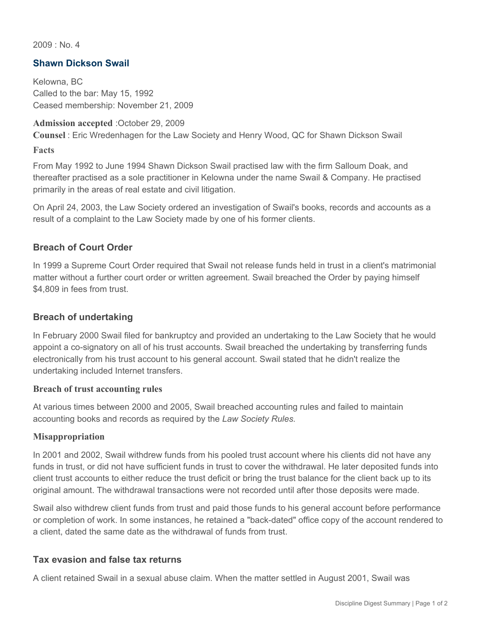$2009 \cdot N_0$  4

# **Shawn Dickson Swail**

Kelowna, BC Called to the bar: May 15, 1992 Ceased membership: November 21, 2009

### **Admission accepted** :October 29, 2009

**Counsel** : Eric Wredenhagen for the Law Society and Henry Wood, QC for Shawn Dickson Swail

#### **Facts**

From May 1992 to June 1994 Shawn Dickson Swail practised law with the firm Salloum Doak, and thereafter practised as a sole practitioner in Kelowna under the name Swail & Company. He practised primarily in the areas of real estate and civil litigation.

On April 24, 2003, the Law Society ordered an investigation of Swail's books, records and accounts as a result of a complaint to the Law Society made by one of his former clients.

## **Breach of Court Order**

In 1999 a Supreme Court Order required that Swail not release funds held in trust in a client's matrimonial matter without a further court order or written agreement. Swail breached the Order by paying himself \$4,809 in fees from trust.

## **Breach of undertaking**

In February 2000 Swail filed for bankruptcy and provided an undertaking to the Law Society that he would appoint a co-signatory on all of his trust accounts. Swail breached the undertaking by transferring funds electronically from his trust account to his general account. Swail stated that he didn't realize the undertaking included Internet transfers.

### **Breach of trust accounting rules**

At various times between 2000 and 2005, Swail breached accounting rules and failed to maintain accounting books and records as required by the *Law Society Rules.*

### **Misappropriation**

In 2001 and 2002, Swail withdrew funds from his pooled trust account where his clients did not have any funds in trust, or did not have sufficient funds in trust to cover the withdrawal. He later deposited funds into client trust accounts to either reduce the trust deficit or bring the trust balance for the client back up to its original amount. The withdrawal transactions were not recorded until after those deposits were made.

Swail also withdrew client funds from trust and paid those funds to his general account before performance or completion of work. In some instances, he retained a "back-dated" office copy of the account rendered to a client, dated the same date as the withdrawal of funds from trust.

### **Tax evasion and false tax returns**

A client retained Swail in a sexual abuse claim. When the matter settled in August 2001, Swail was